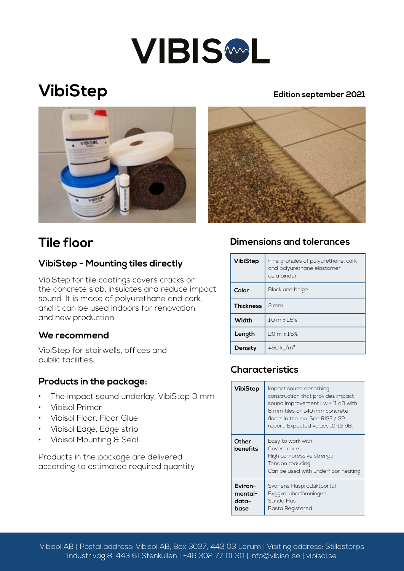

# **VibiStep**

#### **Edition september 2021**





#### **VibiStep - Mounting tiles directly**

VibiStep for tile coatings covers cracks on the concrete slab, insulates and reduce impact sound. It is made of polyurethane and cork, and it can be used indoors for renovation and new production.

#### **We recommend**

VibiStep for stairwells, offices and public facilities.

#### **Products in the package:**

- The impact sound underlay, VibiStep 3 mm
- Vibisol Primer
- Vibisol Floor, Floor Glue
- Vibisol Edge, Edge strip
- Vibisol Mounting & Seal

Products in the package are delivered according to estimated required quantity

### **Tile floor Dimensions and tolerances**

| <b>VibiStep</b>  | Fine granules of polyurethane, cork<br>and polyurethane elastomer<br>as a binder |
|------------------|----------------------------------------------------------------------------------|
| Color            | Black and beige                                                                  |
| <b>Thickness</b> | 3mm                                                                              |
| Width            | $1.0 m \pm 1.5%$                                                                 |
| Length           | 20 m ± 1,5%                                                                      |
| Density          | 450 kg/m <sup>3</sup>                                                            |

### **Characteristics**

| <b>VibiStep</b>                     | Impact sound absorbing<br>construction that provides impact<br>sound improvement Lw = 11 dB with<br>8 mm tiles on 140 mm concrete<br>floors in the lab. See RISE / SP<br>report. Expected values 10-13 dB. |
|-------------------------------------|------------------------------------------------------------------------------------------------------------------------------------------------------------------------------------------------------------|
| Other<br>benefits                   | Easy to work with<br>Cover cracks<br>High compressive strength<br>Tension reducing<br>Can be used with underfloor heating                                                                                  |
| Eviron-<br>mental-<br>data-<br>base | Svanens Husproduktportal<br>Byggvarubedömningen<br>Sunda Hus<br>Basta Registered                                                                                                                           |

Vibisol AB | Postal address: Vibisol AB, Box 3037, 443 03 Lerum | Visiting address: Stillestorps Industriväg 8, 443 61 Stenkullen | +46 302 77 01 30 | info@vibisol.se | vibisol.se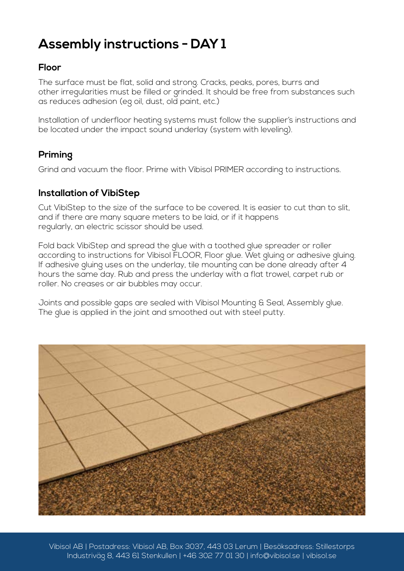## **Assembly instructions - DAY 1**

#### **Floor**

The surface must be flat, solid and strong. Cracks, peaks, pores, burrs and other irregularities must be filled or grinded. It should be free from substances such as reduces adhesion (eg oil, dust, old paint, etc.)

Installation of underfloor heating systems must follow the supplier's instructions and be located under the impact sound underlay (system with leveling).

### **Priming**

Grind and vacuum the floor. Prime with Vibisol PRIMER according to instructions.

#### **Installation of VibiStep**

Cut VibiStep to the size of the surface to be covered. It is easier to cut than to slit, and if there are many square meters to be laid, or if it happens regularly, an electric scissor should be used.

Fold back VibiStep and spread the glue with a toothed glue spreader or roller according to instructions for Vibisol FLOOR, Floor glue. Wet gluing or adhesive gluing. If adhesive gluing uses on the underlay, tile mounting can be done already after 4 hours the same day. Rub and press the underlay with a flat trowel, carpet rub or roller. No creases or air bubbles may occur.

Joints and possible gaps are sealed with Vibisol Mounting & Seal, Assembly glue. The glue is applied in the joint and smoothed out with steel putty.



Vibisol AB | Postadress: Vibisol AB, Box 3037, 443 03 Lerum | Besöksadress: Stillestorps Industriväg 8, 443 61 Stenkullen | +46 302 77 01 30 | info@vibisol.se | vibisol.se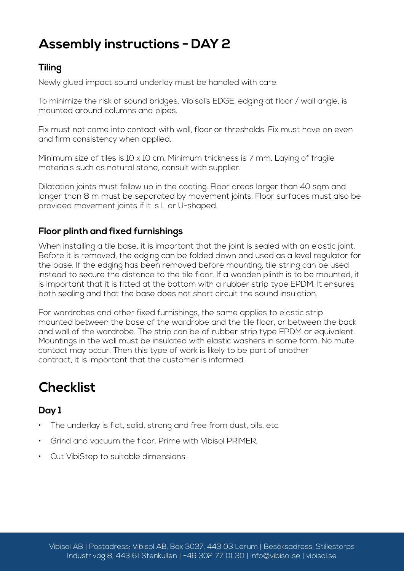## **Assembly instructions - DAY 2**

#### **Tiling**

Newly glued impact sound underlay must be handled with care.

To minimize the risk of sound bridges, Vibisol's EDGE, edging at floor / wall angle, is mounted around columns and pipes.

Fix must not come into contact with wall, floor or thresholds. Fix must have an even and firm consistency when applied.

Minimum size of tiles is 10 x 10 cm. Minimum thickness is 7 mm. Laying of fragile materials such as natural stone, consult with supplier.

Dilatation joints must follow up in the coating. Floor areas larger than 40 sqm and longer than 8 m must be separated by movement joints. Floor surfaces must also be provided movement joints if it is L or U-shaped.

#### **Floor plinth and fixed furnishings**

When installing a tile base, it is important that the joint is sealed with an elastic joint. Before it is removed, the edging can be folded down and used as a level regulator for the base. If the edging has been removed before mounting, tile string can be used instead to secure the distance to the tile floor. If a wooden plinth is to be mounted, it is important that it is fitted at the bottom with a rubber strip type EPDM. It ensures both sealing and that the base does not short circuit the sound insulation.

For wardrobes and other fixed furnishings, the same applies to elastic strip mounted between the base of the wardrobe and the tile floor, or between the back and wall of the wardrobe. The strip can be of rubber strip type EPDM or equivalent. Mountings in the wall must be insulated with elastic washers in some form. No mute contact may occur. Then this type of work is likely to be part of another contract, it is important that the customer is informed.

## **Checklist**

### **Day 1**

- The underlay is flat, solid, strong and free from dust, oils, etc.
- Grind and vacuum the floor. Prime with Vibisol PRIMER.
- Cut VibiStep to suitable dimensions.